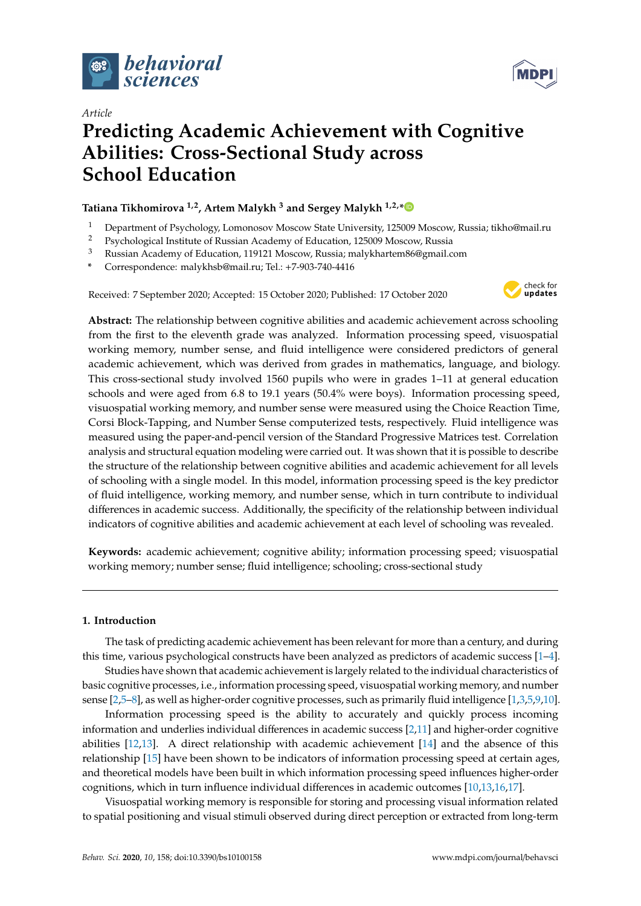



# *Article*

# **Predicting Academic Achievement with Cognitive Abilities: Cross-Sectional Study across School Education**

# **Tatiana Tikhomirova 1,2, Artem Malykh <sup>3</sup> and Sergey Malykh 1,2,[\\*](https://orcid.org/0000-0002-3786-7447)**

- <sup>1</sup> Department of Psychology, Lomonosov Moscow State University, 125009 Moscow, Russia; tikho@mail.ru
- <sup>2</sup> Psychological Institute of Russian Academy of Education, 125009 Moscow, Russia<br><sup>3</sup> Puccing Academy of Education, 119121 Moscow, Russia malukhattan<sup>966</sup>@mail.c
- <sup>3</sup> Russian Academy of Education, 119121 Moscow, Russia; malykhartem86@gmail.com
- **\*** Correspondence: malykhsb@mail.ru; Tel.: +7-903-740-4416

Received: 7 September 2020; Accepted: 15 October 2020; Published: 17 October 2020



**Abstract:** The relationship between cognitive abilities and academic achievement across schooling from the first to the eleventh grade was analyzed. Information processing speed, visuospatial working memory, number sense, and fluid intelligence were considered predictors of general academic achievement, which was derived from grades in mathematics, language, and biology. This cross-sectional study involved 1560 pupils who were in grades 1–11 at general education schools and were aged from 6.8 to 19.1 years (50.4% were boys). Information processing speed, visuospatial working memory, and number sense were measured using the Choice Reaction Time, Corsi Block-Tapping, and Number Sense computerized tests, respectively. Fluid intelligence was measured using the paper-and-pencil version of the Standard Progressive Matrices test. Correlation analysis and structural equation modeling were carried out. It was shown that it is possible to describe the structure of the relationship between cognitive abilities and academic achievement for all levels of schooling with a single model. In this model, information processing speed is the key predictor of fluid intelligence, working memory, and number sense, which in turn contribute to individual differences in academic success. Additionally, the specificity of the relationship between individual indicators of cognitive abilities and academic achievement at each level of schooling was revealed.

**Keywords:** academic achievement; cognitive ability; information processing speed; visuospatial working memory; number sense; fluid intelligence; schooling; cross-sectional study

## **1. Introduction**

The task of predicting academic achievement has been relevant for more than a century, and during this time, various psychological constructs have been analyzed as predictors of academic success [\[1–](#page-10-0)[4\]](#page-10-1).

Studies have shown that academic achievement is largely related to the individual characteristics of basic cognitive processes, i.e., information processing speed, visuospatial working memory, and number sense [\[2,](#page-10-2)[5](#page-10-3)[–8\]](#page-10-4), as well as higher-order cognitive processes, such as primarily fluid intelligence [\[1,](#page-10-0)[3,](#page-10-5)[5](#page-10-3)[,9](#page-10-6)[,10\]](#page-10-7).

Information processing speed is the ability to accurately and quickly process incoming information and underlies individual differences in academic success [\[2](#page-10-2)[,11\]](#page-10-8) and higher-order cognitive abilities [\[12,](#page-10-9)[13\]](#page-10-10). A direct relationship with academic achievement [\[14\]](#page-10-11) and the absence of this relationship [\[15\]](#page-10-12) have been shown to be indicators of information processing speed at certain ages, and theoretical models have been built in which information processing speed influences higher-order cognitions, which in turn influence individual differences in academic outcomes [\[10,](#page-10-7)[13](#page-10-10)[,16](#page-10-13)[,17\]](#page-10-14).

Visuospatial working memory is responsible for storing and processing visual information related to spatial positioning and visual stimuli observed during direct perception or extracted from long-term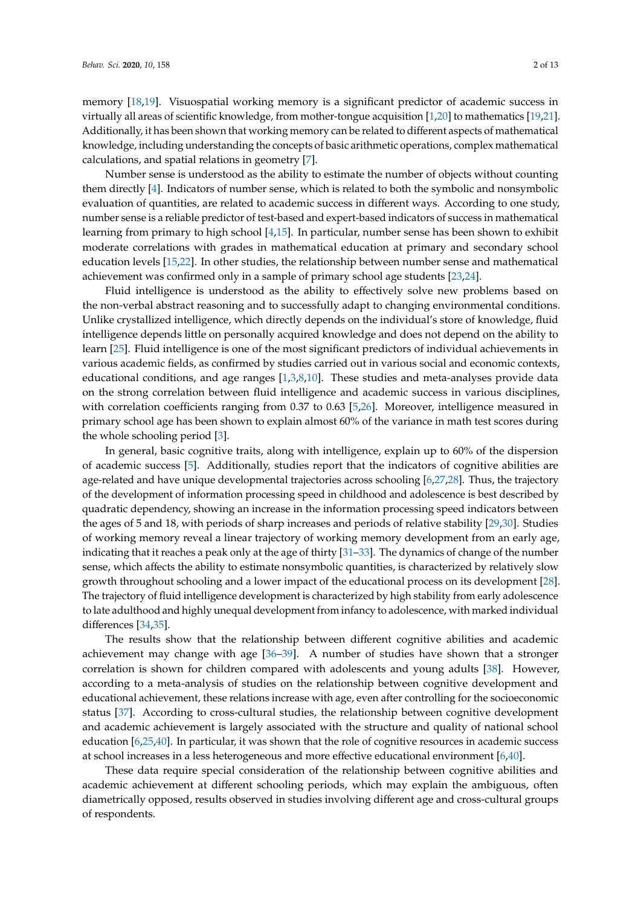memory [\[18,](#page-10-15)[19\]](#page-11-0). Visuospatial working memory is a significant predictor of academic success in virtually all areas of scientific knowledge, from mother-tongue acquisition [\[1,](#page-10-0)[20\]](#page-11-1) to mathematics [\[19](#page-11-0)[,21\]](#page-11-2). Additionally, it has been shown that working memory can be related to different aspects of mathematical knowledge, including understanding the concepts of basic arithmetic operations, complex mathematical calculations, and spatial relations in geometry [\[7\]](#page-10-16).

Number sense is understood as the ability to estimate the number of objects without counting them directly [\[4\]](#page-10-1). Indicators of number sense, which is related to both the symbolic and nonsymbolic evaluation of quantities, are related to academic success in different ways. According to one study, number sense is a reliable predictor of test-based and expert-based indicators of success in mathematical learning from primary to high school [\[4](#page-10-1)[,15\]](#page-10-12). In particular, number sense has been shown to exhibit moderate correlations with grades in mathematical education at primary and secondary school education levels [\[15,](#page-10-12)[22\]](#page-11-3). In other studies, the relationship between number sense and mathematical achievement was confirmed only in a sample of primary school age students [\[23](#page-11-4)[,24\]](#page-11-5).

Fluid intelligence is understood as the ability to effectively solve new problems based on the non-verbal abstract reasoning and to successfully adapt to changing environmental conditions. Unlike crystallized intelligence, which directly depends on the individual's store of knowledge, fluid intelligence depends little on personally acquired knowledge and does not depend on the ability to learn [\[25\]](#page-11-6). Fluid intelligence is one of the most significant predictors of individual achievements in various academic fields, as confirmed by studies carried out in various social and economic contexts, educational conditions, and age ranges [\[1](#page-10-0)[,3](#page-10-5)[,8](#page-10-4)[,10\]](#page-10-7). These studies and meta-analyses provide data on the strong correlation between fluid intelligence and academic success in various disciplines, with correlation coefficients ranging from 0.37 to 0.63 [\[5,](#page-10-3)[26\]](#page-11-7). Moreover, intelligence measured in primary school age has been shown to explain almost 60% of the variance in math test scores during the whole schooling period [\[3\]](#page-10-5).

In general, basic cognitive traits, along with intelligence, explain up to 60% of the dispersion of academic success [\[5\]](#page-10-3). Additionally, studies report that the indicators of cognitive abilities are age-related and have unique developmental trajectories across schooling [\[6](#page-10-17)[,27,](#page-11-8)[28\]](#page-11-9). Thus, the trajectory of the development of information processing speed in childhood and adolescence is best described by quadratic dependency, showing an increase in the information processing speed indicators between the ages of 5 and 18, with periods of sharp increases and periods of relative stability [\[29,](#page-11-10)[30\]](#page-11-11). Studies of working memory reveal a linear trajectory of working memory development from an early age, indicating that it reaches a peak only at the age of thirty [\[31](#page-11-12)[–33\]](#page-11-13). The dynamics of change of the number sense, which affects the ability to estimate nonsymbolic quantities, is characterized by relatively slow growth throughout schooling and a lower impact of the educational process on its development [\[28\]](#page-11-9). The trajectory of fluid intelligence development is characterized by high stability from early adolescence to late adulthood and highly unequal development from infancy to adolescence, with marked individual differences [\[34](#page-11-14)[,35\]](#page-11-15).

The results show that the relationship between different cognitive abilities and academic achievement may change with age [\[36–](#page-11-16)[39\]](#page-11-17). A number of studies have shown that a stronger correlation is shown for children compared with adolescents and young adults [\[38\]](#page-11-18). However, according to a meta-analysis of studies on the relationship between cognitive development and educational achievement, these relations increase with age, even after controlling for the socioeconomic status [\[37\]](#page-11-19). According to cross-cultural studies, the relationship between cognitive development and academic achievement is largely associated with the structure and quality of national school education [\[6,](#page-10-17)[25](#page-11-6)[,40\]](#page-11-20). In particular, it was shown that the role of cognitive resources in academic success at school increases in a less heterogeneous and more effective educational environment [\[6,](#page-10-17)[40\]](#page-11-20).

These data require special consideration of the relationship between cognitive abilities and academic achievement at different schooling periods, which may explain the ambiguous, often diametrically opposed, results observed in studies involving different age and cross-cultural groups of respondents.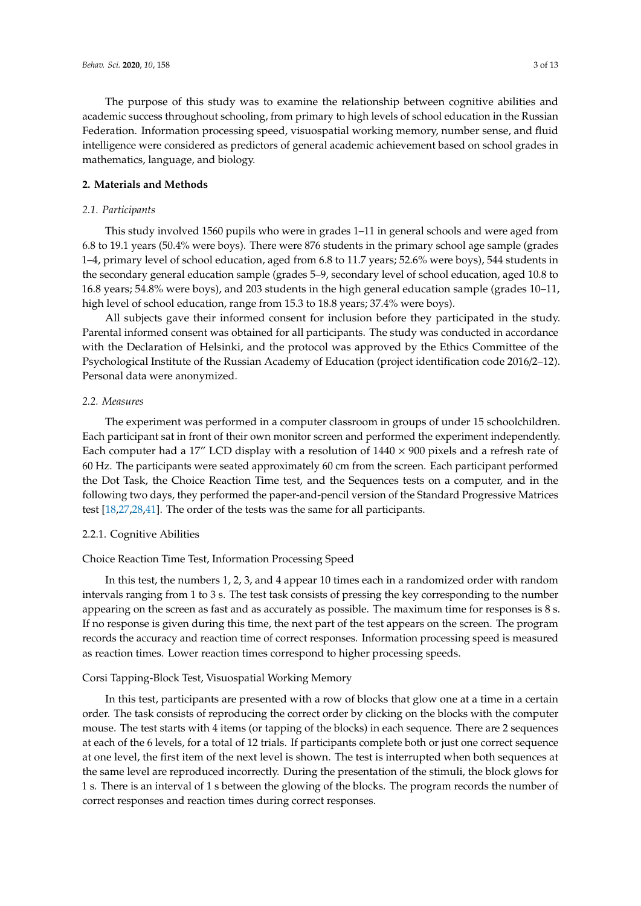The purpose of this study was to examine the relationship between cognitive abilities and academic success throughout schooling, from primary to high levels of school education in the Russian Federation. Information processing speed, visuospatial working memory, number sense, and fluid intelligence were considered as predictors of general academic achievement based on school grades in mathematics, language, and biology.

#### **2. Materials and Methods**

#### *2.1. Participants*

This study involved 1560 pupils who were in grades 1–11 in general schools and were aged from 6.8 to 19.1 years (50.4% were boys). There were 876 students in the primary school age sample (grades 1–4, primary level of school education, aged from 6.8 to 11.7 years; 52.6% were boys), 544 students in the secondary general education sample (grades 5–9, secondary level of school education, aged 10.8 to 16.8 years; 54.8% were boys), and 203 students in the high general education sample (grades 10–11, high level of school education, range from 15.3 to 18.8 years; 37.4% were boys).

All subjects gave their informed consent for inclusion before they participated in the study. Parental informed consent was obtained for all participants. The study was conducted in accordance with the Declaration of Helsinki, and the protocol was approved by the Ethics Committee of the Psychological Institute of the Russian Academy of Education (project identification code 2016/2–12). Personal data were anonymized.

#### *2.2. Measures*

The experiment was performed in a computer classroom in groups of under 15 schoolchildren. Each participant sat in front of their own monitor screen and performed the experiment independently. Each computer had a 17" LCD display with a resolution of  $1440 \times 900$  pixels and a refresh rate of 60 Hz. The participants were seated approximately 60 cm from the screen. Each participant performed the Dot Task, the Choice Reaction Time test, and the Sequences tests on a computer, and in the following two days, they performed the paper-and-pencil version of the Standard Progressive Matrices test [\[18](#page-10-15)[,27,](#page-11-8)[28,](#page-11-9)[41\]](#page-12-0). The order of the tests was the same for all participants.

#### 2.2.1. Cognitive Abilities

## Choice Reaction Time Test, Information Processing Speed

In this test, the numbers 1, 2, 3, and 4 appear 10 times each in a randomized order with random intervals ranging from 1 to 3 s. The test task consists of pressing the key corresponding to the number appearing on the screen as fast and as accurately as possible. The maximum time for responses is 8 s. If no response is given during this time, the next part of the test appears on the screen. The program records the accuracy and reaction time of correct responses. Information processing speed is measured as reaction times. Lower reaction times correspond to higher processing speeds.

#### Corsi Tapping-Block Test, Visuospatial Working Memory

In this test, participants are presented with a row of blocks that glow one at a time in a certain order. The task consists of reproducing the correct order by clicking on the blocks with the computer mouse. The test starts with 4 items (or tapping of the blocks) in each sequence. There are 2 sequences at each of the 6 levels, for a total of 12 trials. If participants complete both or just one correct sequence at one level, the first item of the next level is shown. The test is interrupted when both sequences at the same level are reproduced incorrectly. During the presentation of the stimuli, the block glows for 1 s. There is an interval of 1 s between the glowing of the blocks. The program records the number of correct responses and reaction times during correct responses.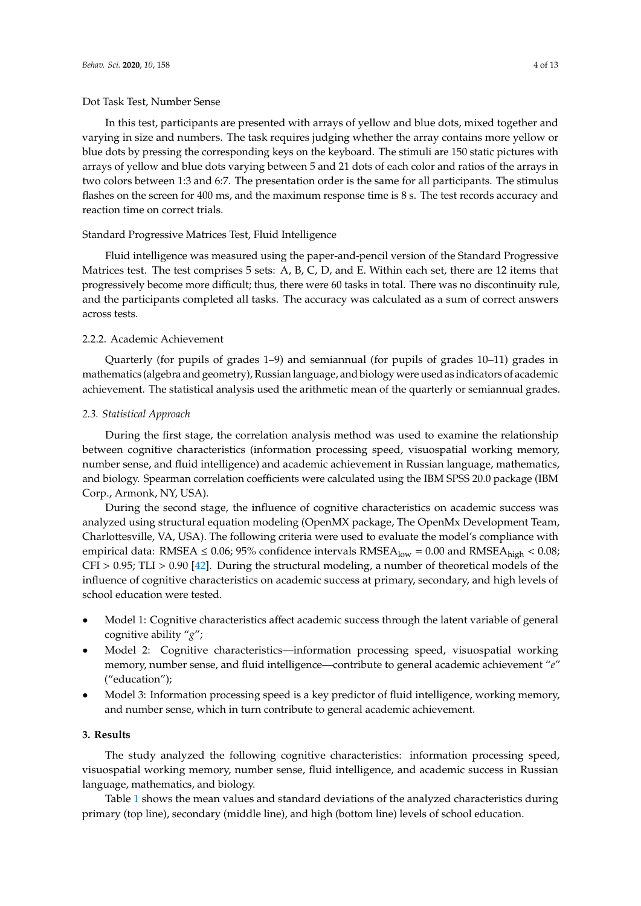In this test, participants are presented with arrays of yellow and blue dots, mixed together and varying in size and numbers. The task requires judging whether the array contains more yellow or blue dots by pressing the corresponding keys on the keyboard. The stimuli are 150 static pictures with arrays of yellow and blue dots varying between 5 and 21 dots of each color and ratios of the arrays in two colors between 1:3 and 6:7. The presentation order is the same for all participants. The stimulus flashes on the screen for 400 ms, and the maximum response time is 8 s. The test records accuracy and reaction time on correct trials.

#### Standard Progressive Matrices Test, Fluid Intelligence

Fluid intelligence was measured using the paper-and-pencil version of the Standard Progressive Matrices test. The test comprises 5 sets: A, B, C, D, and E. Within each set, there are 12 items that progressively become more difficult; thus, there were 60 tasks in total. There was no discontinuity rule, and the participants completed all tasks. The accuracy was calculated as a sum of correct answers across tests.

## 2.2.2. Academic Achievement

Quarterly (for pupils of grades 1–9) and semiannual (for pupils of grades 10–11) grades in mathematics (algebra and geometry), Russian language, and biology were used as indicators of academic achievement. The statistical analysis used the arithmetic mean of the quarterly or semiannual grades.

### *2.3. Statistical Approach*

During the first stage, the correlation analysis method was used to examine the relationship between cognitive characteristics (information processing speed, visuospatial working memory, number sense, and fluid intelligence) and academic achievement in Russian language, mathematics, and biology. Spearman correlation coefficients were calculated using the IBM SPSS 20.0 package (IBM Corp., Armonk, NY, USA).

During the second stage, the influence of cognitive characteristics on academic success was analyzed using structural equation modeling (OpenMX package, The OpenMx Development Team, Charlottesville, VA, USA). The following criteria were used to evaluate the model's compliance with empirical data: RMSEA  $\leq$  0.06; 95% confidence intervals RMSEA<sub>low</sub> = 0.00 and RMSEA<sub>high</sub> < 0.08; CFI > 0.95; TLI > 0.90 [\[42\]](#page-12-1). During the structural modeling, a number of theoretical models of the influence of cognitive characteristics on academic success at primary, secondary, and high levels of school education were tested.

- Model 1: Cognitive characteristics affect academic success through the latent variable of general cognitive ability "*g*";
- Model 2: Cognitive characteristics—information processing speed, visuospatial working memory, number sense, and fluid intelligence—contribute to general academic achievement "*e*" ("education");
- Model 3: Information processing speed is a key predictor of fluid intelligence, working memory, and number sense, which in turn contribute to general academic achievement.

# **3. Results**

The study analyzed the following cognitive characteristics: information processing speed, visuospatial working memory, number sense, fluid intelligence, and academic success in Russian language, mathematics, and biology.

Table [1](#page-4-0) shows the mean values and standard deviations of the analyzed characteristics during primary (top line), secondary (middle line), and high (bottom line) levels of school education.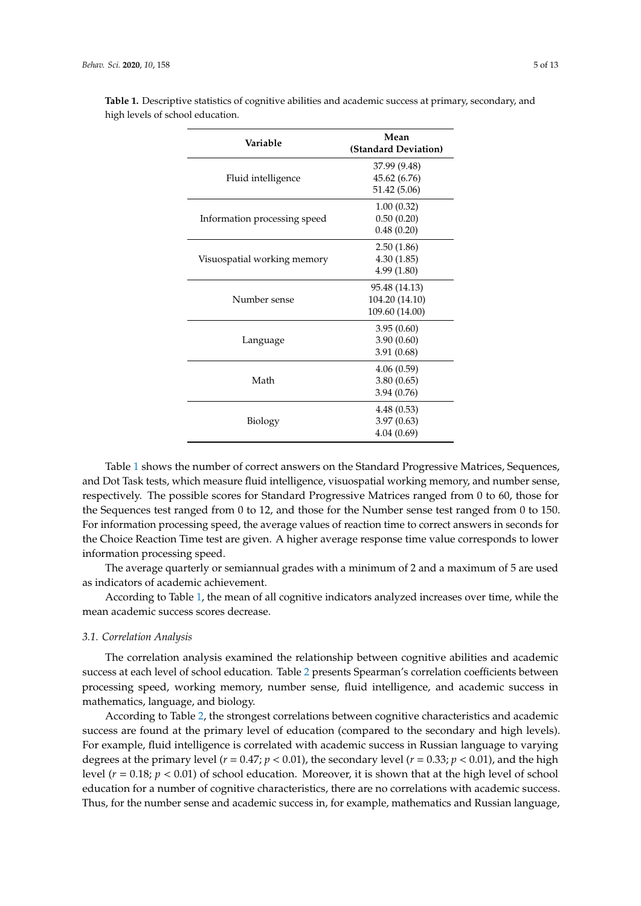| Variable                     | Mean<br>(Standard Deviation) |  |  |  |
|------------------------------|------------------------------|--|--|--|
|                              | 37.99 (9.48)                 |  |  |  |
| Fluid intelligence           | 45.62 (6.76)                 |  |  |  |
|                              | 51.42 (5.06)                 |  |  |  |
|                              | 1.00(0.32)                   |  |  |  |
| Information processing speed | 0.50(0.20)                   |  |  |  |
|                              | 0.48(0.20)                   |  |  |  |
|                              | 2.50(1.86)                   |  |  |  |
| Visuospatial working memory  | 4.30(1.85)                   |  |  |  |
|                              | 4.99(1.80)                   |  |  |  |
|                              | 95.48 (14.13)                |  |  |  |
| Number sense                 | 104.20 (14.10)               |  |  |  |
|                              | 109.60 (14.00)               |  |  |  |
|                              | 3.95(0.60)                   |  |  |  |
| Language                     | 3.90(0.60)                   |  |  |  |
|                              | 3.91(0.68)                   |  |  |  |
|                              | 4.06(0.59)                   |  |  |  |
| Math                         | 3.80(0.65)                   |  |  |  |
|                              | 3.94(0.76)                   |  |  |  |
|                              | 4.48(0.53)                   |  |  |  |
| Biology                      | 3.97(0.63)                   |  |  |  |
|                              | 4.04(0.69)                   |  |  |  |

<span id="page-4-0"></span>**Table 1.** Descriptive statistics of cognitive abilities and academic success at primary, secondary, and high levels of school education.

Table [1](#page-4-0) shows the number of correct answers on the Standard Progressive Matrices, Sequences, and Dot Task tests, which measure fluid intelligence, visuospatial working memory, and number sense, respectively. The possible scores for Standard Progressive Matrices ranged from 0 to 60, those for the Sequences test ranged from 0 to 12, and those for the Number sense test ranged from 0 to 150. For information processing speed, the average values of reaction time to correct answers in seconds for the Choice Reaction Time test are given. A higher average response time value corresponds to lower information processing speed.

The average quarterly or semiannual grades with a minimum of 2 and a maximum of 5 are used as indicators of academic achievement.

According to Table [1,](#page-4-0) the mean of all cognitive indicators analyzed increases over time, while the mean academic success scores decrease.

#### *3.1. Correlation Analysis*

The correlation analysis examined the relationship between cognitive abilities and academic success at each level of school education. Table [2](#page-5-0) presents Spearman's correlation coefficients between processing speed, working memory, number sense, fluid intelligence, and academic success in mathematics, language, and biology.

According to Table [2,](#page-5-0) the strongest correlations between cognitive characteristics and academic success are found at the primary level of education (compared to the secondary and high levels). For example, fluid intelligence is correlated with academic success in Russian language to varying degrees at the primary level ( $r = 0.47$ ;  $p < 0.01$ ), the secondary level ( $r = 0.33$ ;  $p < 0.01$ ), and the high level  $(r = 0.18; p < 0.01)$  of school education. Moreover, it is shown that at the high level of school education for a number of cognitive characteristics, there are no correlations with academic success. Thus, for the number sense and academic success in, for example, mathematics and Russian language,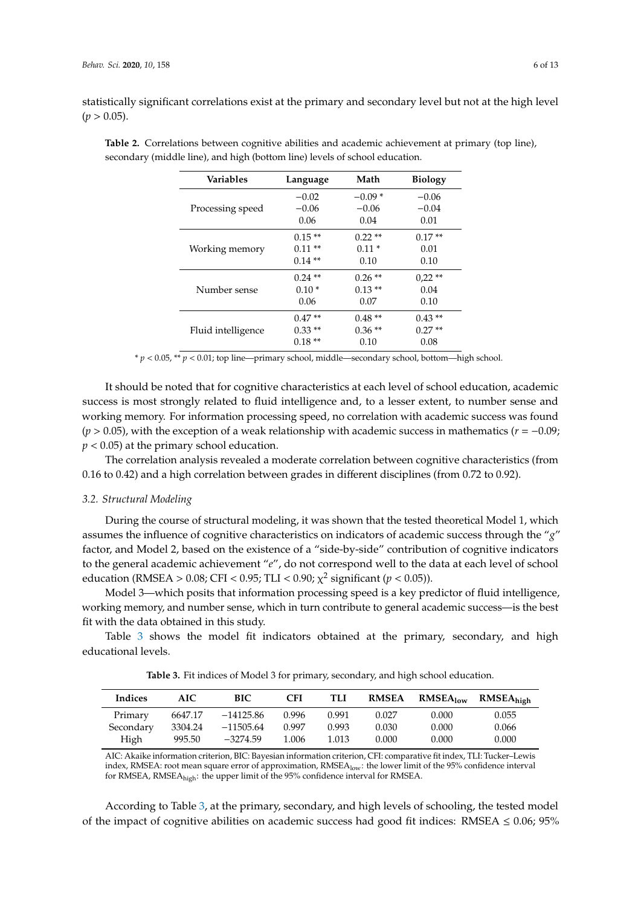statistically significant correlations exist at the primary and secondary level but not at the high level  $(p > 0.05)$ .

| <b>Variables</b>   | Language  | Math     | <b>Biology</b> |
|--------------------|-----------|----------|----------------|
|                    | $-0.02$   | $-0.09*$ | $-0.06$        |
| Processing speed   | $-0.06$   | $-0.06$  | $-0.04$        |
|                    | 0.06      | 0.04     | 0.01           |
|                    | $0.15**$  | $0.22**$ | $0.17**$       |
| Working memory     | $0.11**$  | $0.11*$  | 0.01           |
|                    | $0.14**$  | 0.10     | 0.10           |
|                    | $0.24$ ** | $0.26**$ | $0,22**$       |
| Number sense       | $0.10*$   | $0.13**$ | 0.04           |
|                    | 0.06      | 0.07     | 0.10           |
|                    | $0.47**$  | $0.48**$ | $0.43**$       |
| Fluid intelligence | $0.33**$  | $0.36**$ | $0.27**$       |
|                    | $0.18**$  | 0.10     | 0.08           |

<span id="page-5-0"></span>**Table 2.** Correlations between cognitive abilities and academic achievement at primary (top line), secondary (middle line), and high (bottom line) levels of school education.

\* *p* < 0.05, \*\* *p* < 0.01; top line—primary school, middle—secondary school, bottom—high school.

It should be noted that for cognitive characteristics at each level of school education, academic success is most strongly related to fluid intelligence and, to a lesser extent, to number sense and working memory. For information processing speed, no correlation with academic success was found (*p* > 0.05), with the exception of a weak relationship with academic success in mathematics (*r* = −0.09; *p* < 0.05) at the primary school education.

The correlation analysis revealed a moderate correlation between cognitive characteristics (from 0.16 to 0.42) and a high correlation between grades in different disciplines (from 0.72 to 0.92).

#### *3.2. Structural Modeling*

During the course of structural modeling, it was shown that the tested theoretical Model 1, which assumes the influence of cognitive characteristics on indicators of academic success through the "*g*" factor, and Model 2, based on the existence of a "side-by-side" contribution of cognitive indicators to the general academic achievement "*e*", do not correspond well to the data at each level of school education (RMSEA > 0.08; CFI < 0.95; TLI < 0.90;  $\chi^2$  significant ( $p < 0.05$ )).

Model 3—which posits that information processing speed is a key predictor of fluid intelligence, working memory, and number sense, which in turn contribute to general academic success—is the best fit with the data obtained in this study.

<span id="page-5-1"></span>Table [3](#page-5-1) shows the model fit indicators obtained at the primary, secondary, and high educational levels.

|  | <b>Table 3.</b> Fit indices of Model 3 for primary, secondary, and high school education. |  |  |  |  |  |  |  |  |  |
|--|-------------------------------------------------------------------------------------------|--|--|--|--|--|--|--|--|--|
|--|-------------------------------------------------------------------------------------------|--|--|--|--|--|--|--|--|--|

| <b>Indices</b> | AIC     | <b>BIC</b>  | CFI   | TLI   | <b>RMSEA</b> | $RMSEA_{low}$ | RMSEA <sub>high</sub> |
|----------------|---------|-------------|-------|-------|--------------|---------------|-----------------------|
| Primary        | 6647.17 | $-14125.86$ | 0.996 | 0.991 | 0.027        | 0.000         | 0.055                 |
| Secondary      | 3304.24 | $-11505.64$ | 0.997 | 0.993 | 0.030        | 0.000         | 0.066                 |
| High           | 995.50  | $-3274.59$  | 1.006 | 1.013 | 0.000        | 0.000         | 0.000                 |

AIC: Akaike information criterion, BIC: Bayesian information criterion, CFI: comparative fit index, TLI: Tucker–Lewis index, RMSEA: root mean square error of approximation, RMSEA<sub>low</sub>: the lower limit of the 95% confidence interval for RMSEA, RMSEAhigh: the upper limit of the 95% confidence interval for RMSEA.

According to Table [3,](#page-5-1) at the primary, secondary, and high levels of schooling, the tested model of the impact of cognitive abilities on academic success had good fit indices: RMSEA  $\leq 0.06$ ; 95%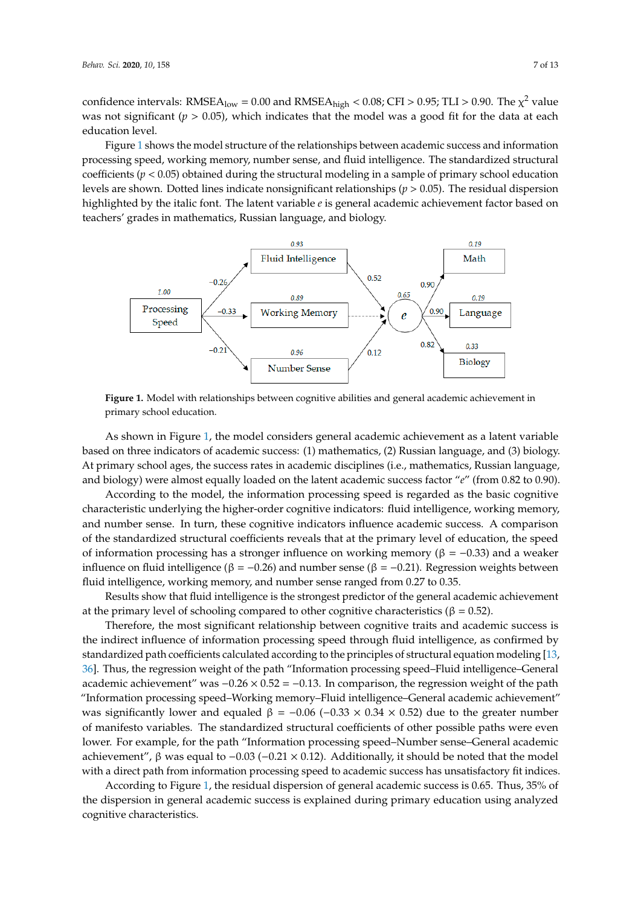confidence intervals: RMSEA<sub>low</sub> = 0.00 and RMSEA<sub>high</sub> < 0.08; CFI > 0.95; TLI > 0.90. The  $\chi^2$  value was not significant ( $p > 0.05$ ), which indicates that the model was a good fit for the data at each  $\frac{1}{p}$ education level.<br>Fi confidence intervals: RMSEA high state intervals in  $\frac{1}{2}$  or  $\frac{1}{2}$  in  $\frac{1}{2}$  in  $\frac{1}{2}$  in  $\frac{1}{2}$  in  $\frac{1}{2}$  in  $\frac{1}{2}$  in  $\frac{1}{2}$  in  $\frac{1}{2}$  in  $\frac{1}{2}$  in  $\frac{1}{2}$  in  $\frac{1}{2}$  in  $\frac{1}{2}$  in

Figure [1](#page-6-0) shows the model structure of the relationships between academic success and information<br>Figure 1 shows the model structure of the relationships between academic success and information processing speed, working memory, number sense, and fluid intelligence. The standardized structural processing speed, working includer, number sense, and fluid intelligence. The standardized structural coefficients ( $p < 0.05$ ) obtained during the structural modeling in a sample of primary school education levels are shown. Dotted lines indicate nonsignificant relationships (*p* > 0.05). The residual dispersion<br>levels are shown. Dotted lines indicate nonsignificant relationships (*p* > 0.05). The residual dispersion highlighted by the italic font. The latent variable *e* is general academic achievement factor based on the italic font. The latent variable *e* is general academic achievement factor based on teachers' grades in mathematics, Russian language, and biology. standardized structural coefficients (*p* < 0.05) or  $\frac{1}{n}$  or  $\frac{1}{n}$  or  $\frac{1}{n}$  or  $\frac{1}{n}$  or  $\frac{1}{n}$  or  $\frac{1}{n}$  or  $\frac{1}{n}$  or  $\frac{1}{n}$  or  $\frac{1}{n}$  or  $\frac{1}{n}$  or  $\frac{1}{n}$  or  $\frac{1}{n}$  or  $\frac{1}{n}$  or

<span id="page-6-0"></span>

**Figure 1. <b>Primary school education**. **Figure 1.** Model with relationships between cognitive abilities and general academic achievement in

based on three indicators of academic success: (1) mathematics, (2) Russian language, and (3) biology. At primary school ages, the success rates in academic disciplines (i.e., mathematics, Russian language, and biology) were almost equally loaded on the latent academic success factor "*e*" (from 0.82 to 0.90). As shown in Figure [1,](#page-6-0) the model considers general academic achievement as a latent variable

According to the model, the information processing speed is regarded as the basic cognitive characteristic underlying the higher-order cognitive indicators: fluid intelligence, working memory, and number sense. In turn, these cognitive indicators influence academic success. A comparison of the standardized structural coefficients reveals that at the primary level of education, the speed of information processing has a stronger influence on working memory ( $β = -0.33$ ) and a weaker influence on fluid intelligence (β = −0.26) and number sense (β = −0.21). Regression weights between fluid intelligence, working memory, and number sense ranged from 0.27 to 0.35.

Results show that fluid intelligence is the strongest predictor of the general academic achievement at the primary level of schooling compared to other cognitive characteristics ( $\beta = 0.52$ ).

Therefore, the most significant relationship between cognitive traits and academic success is the indirect influence of information processing speed through fluid intelligence, as confirmed by standardized path coefficients calculated according to [the](#page-10-10) principles of structural equation modeling [13, 36]. Thus, the regression weight of the path "Information processing speed–Fluid intelligence–General academic achievement" was  $-0.26 \times 0.52 = -0.13$ . In comparison, the regression weight of the path "Information processing speed–Working memory–Fluid intelligence–General academic achievement" was significantly lower and equaled  $β = -0.06 (-0.33 \times 0.34 \times 0.52)$  due to the greater number of manifesto variables. The standardized structural coefficients of other possible paths were even lower. For example, for the path "Information processing speed–Number sense–General academic achievement", β was equal to -0.03 (-0.21 × 0.12). Additionally, it should be noted that the model with a direct path from information processing speed to academic success has unsatisfactory fit indices.

According to Figure [1,](#page-6-0) the residual dispersion of general academic success is 0.65. Thus, 35% of the dispersion in general academic success is explained during primary education using analyzed cognitive characteristics.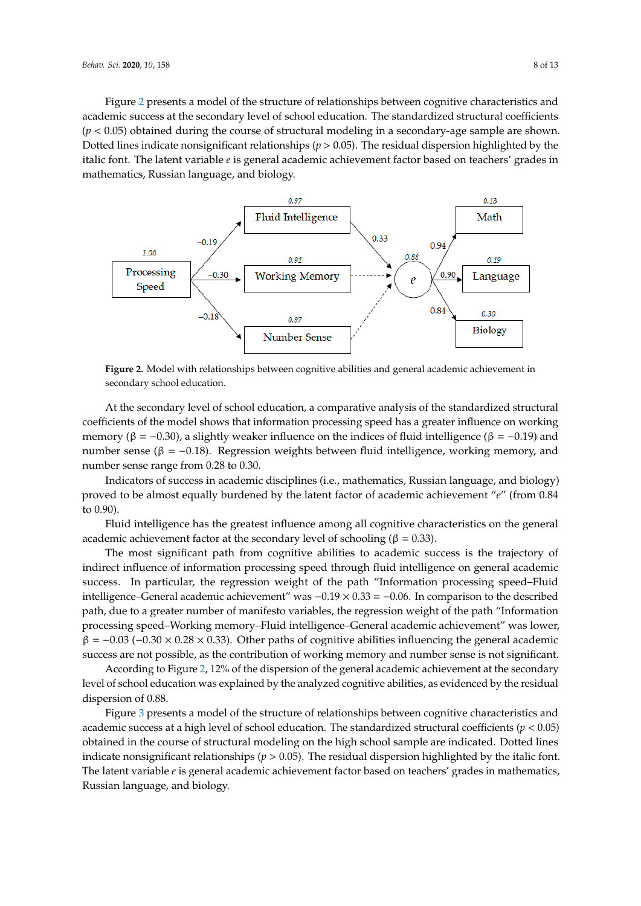Figure [2](#page-7-0) presents a model of the structure of relationships between cognitive characteristics and academic success at the secondary level of school education. The standardized structural coefficients  $(p < 0.05)$  obtained during the course of structural modeling in a secondary-age sample are shown. Dotted lines indicate nonsignificant relationships ( $p > 0.05$ ). The residual dispersion highlighted by the italic font. The latent variable e is general academic achievement factor based on teachers' grades in mathematics, Russian language, and biology.

<span id="page-7-0"></span>

**Figure 2.** Model with relationships between cognitive abilities and general academic achievement in **Figure 2.** Model with relationships between cognitive abilities and general academic achievement in secondary school education.

At the secondary level of school education, a comparative analysis of the standardized structural memory ( $\beta$  = −0.30), a slightly weaker influence on the indices of fluid intelligence ( $\beta$  = −0.19) and number sense (β = −0.18). Regression weights between fluid intelligence, working memory, and number sense range from 0.28 to 0.30. coefficients of the model shows that information processing speed has a greater influence on working

Indicators of success in academic disciplines (i.e., mathematics, Russian language, and biology) proved to be almost equally burdened by the latent factor of academic achievement "*e*" (from 0.84 to 0.90).

to 0.50).<br>Fluid intelligence has the greatest influence among all cognitive characteristics on the general  $\frac{1}{2}$  academic achievement factor at the secondary level of schooling (β = 0.33).

indirect influence of information processing speed through fluid intelligence on general academic success. In particular, the regression weight of the path "Information processing speed–Fluid intelligence–General academic achievement" was -0.19 × 0.33 = -0.06. In comparison to the described path, due to a greater number of manifesto variables, the regression weight of the path "Information processing speed–Working memory–Fluid intelligence–General academic achievement" was lower,  $\beta = -0.03$  (−0.30 × 0.28 × 0.33). Other paths of cognitive abilities influencing the general academic success are not possible, as the contribution of working memory and number sense is not significant. The most significant path from cognitive abilities to academic success is the trajectory of

Supervisording to Figure [2,](#page-7-0) 12% of the dispersion of the general academic achievement at the secondary and lower,  $\frac{1}{2}$ level of school education was explained by the analyzed cognitive abilities, as evidenced by the residual<br>disposation of 0.98 dispersion of 0.88.

Figure [3](#page-8-0) presents a model of the structure of relationships between cognitive characteristics and academic success at a high level of school education. The standardized structural coefficients ( $p < 0.05$ ) obtained in the course of structural modeling on the high school sample are indicated. Dotted lines indicate nonsignificant relationships ( $p > 0.05$ ). The residual dispersion highlighted by the italic font. The latent variable *e* is general academic achievement factor based on teachers' grades in mathematics, Russian language, and biology. The standardized structural coefficients (*p*  $\rho$   $\alpha$   $\rho$   $\alpha$   $\rho$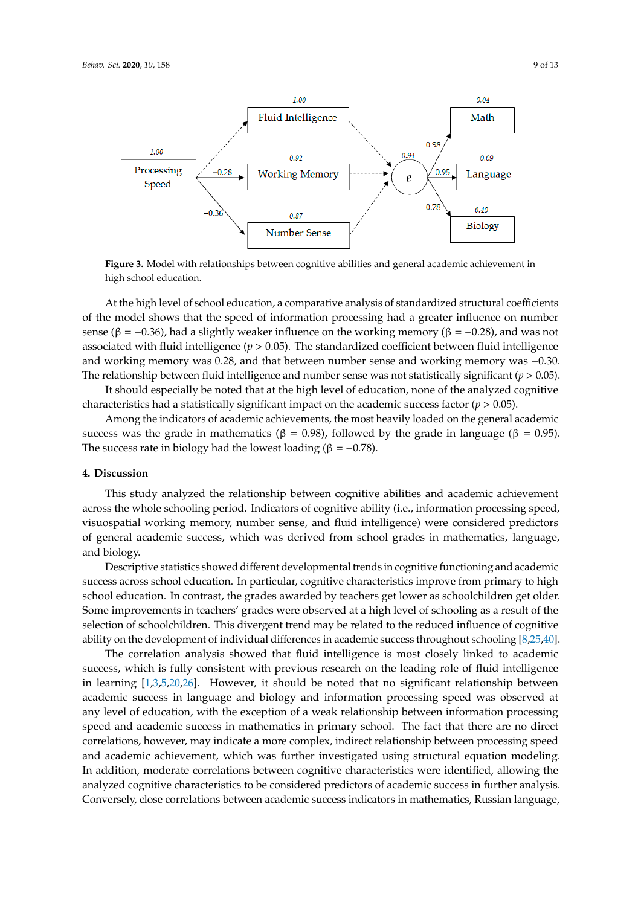<span id="page-8-0"></span>

**Figh school education.** The state abilities and general achievement in action achievement in action of the state achievement in action of the state achievement in action of the state achievement in action of the state ach **Figure 3.** Model with relationships between cognitive abilities and general academic achievement in

of the model shows that the speed of information processing had a greater influence on number sense ( $\beta$  = −0.36), had a slightly weaker influence on the working memory ( $\beta$  = −0.28), and was not associated with fluid intelligence (*p* > 0.05). The standardized coefficient between fluid intelligence and working memory was 0.28, and that between number sense and working memory was -0.30. The relationship between fluid intelligence and number sense was not statistically significant  $(p > 0.05)$ . At the high level of school education, a comparative analysis of standardized structural coefficients

It should especially be noted that at the high level of education, none of the analyzed cognitive characteristics had a statistically significant impact on the academic success factor  $(p > 0.05)$ .

Among the indicators of academic achievements, the most heavily loaded on the general academic success was the grade in mathematics ( $β = 0.98$ ), followed by the grade in language ( $β = 0.95$ ). The success rate in biology had the lowest loading ( $\beta = -0.78$ ).

# **success rate in biology had the loading (β = 0.78). The loading (β = 0.78). The loading (β = 0.78). The loading (**

across the whole schooling period. Indicators of cognitive ability (i.e., information processing speed, visuospatial working memory, number sense, and fluid intelligence) were considered predictors of general academic success, which was derived from school grades in mathematics, language, visuospatial working memory, number sense, and fluid intelligence) were considered predictors of  $p$ This study analyzed the relationship between cognitive abilities and academic achievement and biology.

Descriptive statistics showed different developmental trends in cognitive functioning and academic success across school education. In particular, cognitive characteristics improve from primary to high school education. In contrast, the grades awarded by teachers get lower as schoolchildren get older. Some improvements in teachers' grades were observed at a high level of schooling as a result of the selection of schoolchildren. This divergent trend may be related to the reduced influence of cognitive ability on the development of individual differences in academic success throughout schooling [\[8](#page-10-4)[,25](#page-11-6)[,40\]](#page-11-20).

The correlation analysis showed that fluid intelligence is most closely linked to academic success, which is fully consistent with previous research on the leading role of fluid intelligence in learning [\[1,](#page-10-0)[3](#page-10-5)[,5](#page-10-3)[,20](#page-11-1)[,26\]](#page-11-7). However, it should be noted that no significant relationship between academic success in language and biology and information processing speed was observed at any level of education, with the exception of a weak relationship between information processing speed and academic success in mathematics in primary school. The fact that there are no direct correlations, however, may indicate a more complex, indirect relationship between processing speed and academic achievement, which was further investigated using structural equation modeling. In addition, moderate correlations between cognitive characteristics were identified, allowing the analyzed cognitive characteristics to be considered predictors of academic success in further analysis. Conversely, close correlations between academic success indicators in mathematics, Russian language,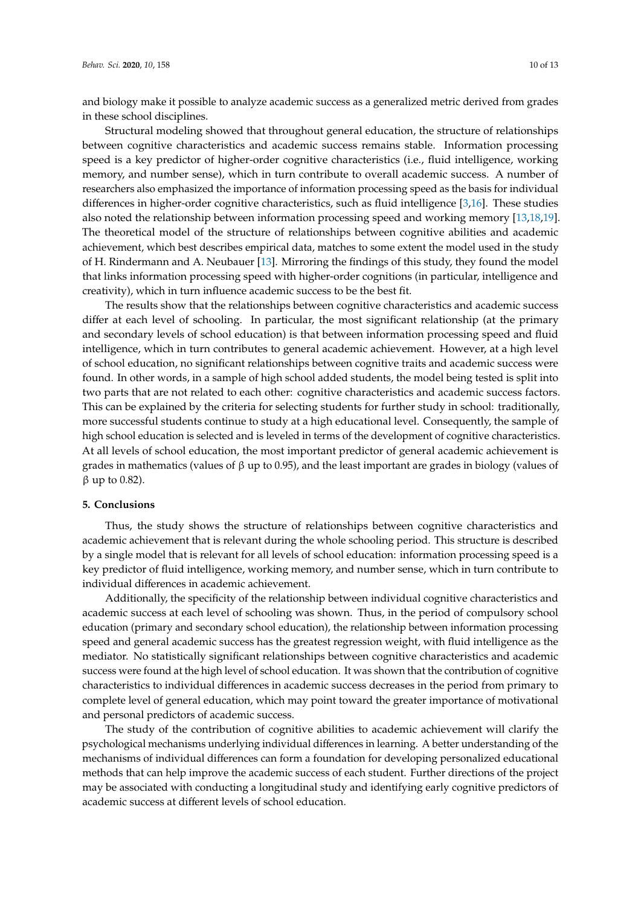and biology make it possible to analyze academic success as a generalized metric derived from grades in these school disciplines.

Structural modeling showed that throughout general education, the structure of relationships between cognitive characteristics and academic success remains stable. Information processing speed is a key predictor of higher-order cognitive characteristics (i.e., fluid intelligence, working memory, and number sense), which in turn contribute to overall academic success. A number of researchers also emphasized the importance of information processing speed as the basis for individual differences in higher-order cognitive characteristics, such as fluid intelligence [\[3,](#page-10-5)[16\]](#page-10-13). These studies also noted the relationship between information processing speed and working memory [\[13,](#page-10-10)[18,](#page-10-15)[19\]](#page-11-0). The theoretical model of the structure of relationships between cognitive abilities and academic achievement, which best describes empirical data, matches to some extent the model used in the study of H. Rindermann and A. Neubauer [\[13\]](#page-10-10). Mirroring the findings of this study, they found the model that links information processing speed with higher-order cognitions (in particular, intelligence and creativity), which in turn influence academic success to be the best fit.

The results show that the relationships between cognitive characteristics and academic success differ at each level of schooling. In particular, the most significant relationship (at the primary and secondary levels of school education) is that between information processing speed and fluid intelligence, which in turn contributes to general academic achievement. However, at a high level of school education, no significant relationships between cognitive traits and academic success were found. In other words, in a sample of high school added students, the model being tested is split into two parts that are not related to each other: cognitive characteristics and academic success factors. This can be explained by the criteria for selecting students for further study in school: traditionally, more successful students continue to study at a high educational level. Consequently, the sample of high school education is selected and is leveled in terms of the development of cognitive characteristics. At all levels of school education, the most important predictor of general academic achievement is grades in mathematics (values of  $\beta$  up to 0.95), and the least important are grades in biology (values of β up to 0.82).

#### **5. Conclusions**

Thus, the study shows the structure of relationships between cognitive characteristics and academic achievement that is relevant during the whole schooling period. This structure is described by a single model that is relevant for all levels of school education: information processing speed is a key predictor of fluid intelligence, working memory, and number sense, which in turn contribute to individual differences in academic achievement.

Additionally, the specificity of the relationship between individual cognitive characteristics and academic success at each level of schooling was shown. Thus, in the period of compulsory school education (primary and secondary school education), the relationship between information processing speed and general academic success has the greatest regression weight, with fluid intelligence as the mediator. No statistically significant relationships between cognitive characteristics and academic success were found at the high level of school education. It was shown that the contribution of cognitive characteristics to individual differences in academic success decreases in the period from primary to complete level of general education, which may point toward the greater importance of motivational and personal predictors of academic success.

The study of the contribution of cognitive abilities to academic achievement will clarify the psychological mechanisms underlying individual differences in learning. A better understanding of the mechanisms of individual differences can form a foundation for developing personalized educational methods that can help improve the academic success of each student. Further directions of the project may be associated with conducting a longitudinal study and identifying early cognitive predictors of academic success at different levels of school education.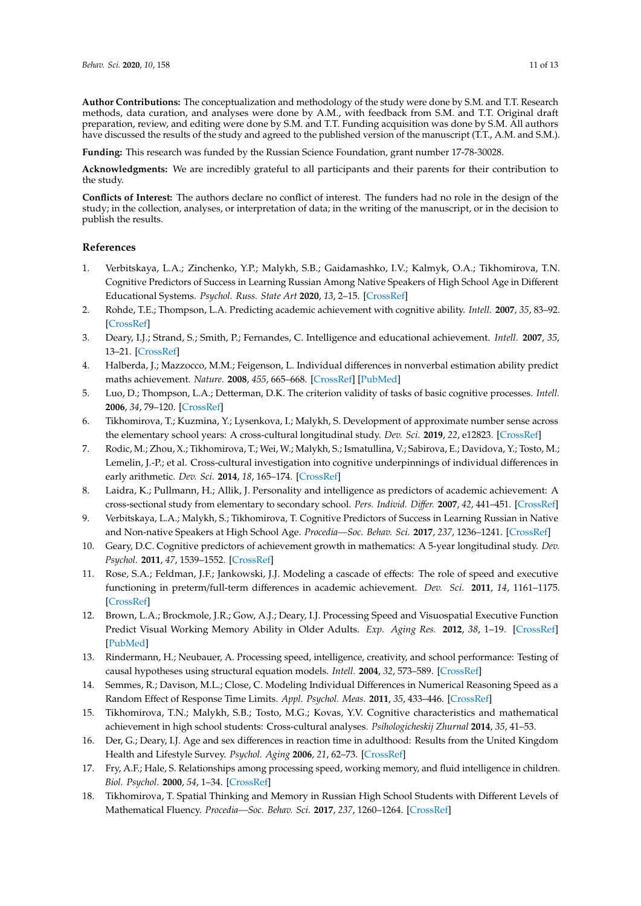**Author Contributions:** The conceptualization and methodology of the study were done by S.M. and T.T. Research methods, data curation, and analyses were done by A.M., with feedback from S.M. and T.T. Original draft preparation, review, and editing were done by S.M. and T.T. Funding acquisition was done by S.M. All authors have discussed the results of the study and agreed to the published version of the manuscript (T.T., A.M. and S.M.).

**Funding:** This research was funded by the Russian Science Foundation, grant number 17-78-30028.

**Acknowledgments:** We are incredibly grateful to all participants and their parents for their contribution to the study.

**Conflicts of Interest:** The authors declare no conflict of interest. The funders had no role in the design of the study; in the collection, analyses, or interpretation of data; in the writing of the manuscript, or in the decision to publish the results.

#### **References**

- <span id="page-10-0"></span>1. Verbitskaya, L.A.; Zinchenko, Y.P.; Malykh, S.B.; Gaidamashko, I.V.; Kalmyk, O.A.; Tikhomirova, T.N. Cognitive Predictors of Success in Learning Russian Among Native Speakers of High School Age in Different Educational Systems. *Psychol. Russ. State Art* **2020**, *13*, 2–15. [\[CrossRef\]](http://dx.doi.org/10.11621/pir.2020.0201)
- <span id="page-10-2"></span>2. Rohde, T.E.; Thompson, L.A. Predicting academic achievement with cognitive ability. *Intell.* **2007**, *35*, 83–92. [\[CrossRef\]](http://dx.doi.org/10.1016/j.intell.2006.05.004)
- <span id="page-10-5"></span>3. Deary, I.J.; Strand, S.; Smith, P.; Fernandes, C. Intelligence and educational achievement. *Intell.* **2007**, *35*, 13–21. [\[CrossRef\]](http://dx.doi.org/10.1016/j.intell.2006.02.001)
- <span id="page-10-1"></span>4. Halberda, J.; Mazzocco, M.M.; Feigenson, L. Individual differences in nonverbal estimation ability predict maths achievement. *Nature.* **2008**, *455*, 665–668. [\[CrossRef\]](http://dx.doi.org/10.1038/nature07246) [\[PubMed\]](http://www.ncbi.nlm.nih.gov/pubmed/18776888)
- <span id="page-10-3"></span>5. Luo, D.; Thompson, L.A.; Detterman, D.K. The criterion validity of tasks of basic cognitive processes. *Intell.* **2006**, *34*, 79–120. [\[CrossRef\]](http://dx.doi.org/10.1016/j.intell.2004.12.003)
- <span id="page-10-17"></span>6. Tikhomirova, T.; Kuzmina, Y.; Lysenkova, I.; Malykh, S. Development of approximate number sense across the elementary school years: A cross-cultural longitudinal study. *Dev. Sci.* **2019**, *22*, e12823. [\[CrossRef\]](http://dx.doi.org/10.1111/desc.12823)
- <span id="page-10-16"></span>7. Rodic, M.; Zhou, X.; Tikhomirova, T.; Wei, W.; Malykh, S.; Ismatullina, V.; Sabirova, E.; Davidova, Y.; Tosto, M.; Lemelin, J.-P.; et al. Cross-cultural investigation into cognitive underpinnings of individual differences in early arithmetic. *Dev. Sci.* **2014**, *18*, 165–174. [\[CrossRef\]](http://dx.doi.org/10.1111/desc.12204)
- <span id="page-10-4"></span>8. Laidra, K.; Pullmann, H.; Allik, J. Personality and intelligence as predictors of academic achievement: A cross-sectional study from elementary to secondary school. *Pers. Individ. Di*ff*er.* **2007**, *42*, 441–451. [\[CrossRef\]](http://dx.doi.org/10.1016/j.paid.2006.08.001)
- <span id="page-10-6"></span>9. Verbitskaya, L.A.; Malykh, S.; Tikhomirova, T. Cognitive Predictors of Success in Learning Russian in Native and Non-native Speakers at High School Age. *Procedia—Soc. Behav. Sci.* **2017**, *237*, 1236–1241. [\[CrossRef\]](http://dx.doi.org/10.1016/j.sbspro.2017.02.195)
- <span id="page-10-7"></span>10. Geary, D.C. Cognitive predictors of achievement growth in mathematics: A 5-year longitudinal study. *Dev. Psychol.* **2011**, *47*, 1539–1552. [\[CrossRef\]](http://dx.doi.org/10.1037/a0025510)
- <span id="page-10-8"></span>11. Rose, S.A.; Feldman, J.F.; Jankowski, J.J. Modeling a cascade of effects: The role of speed and executive functioning in preterm/full-term differences in academic achievement. *Dev. Sci.* **2011**, *14*, 1161–1175. [\[CrossRef\]](http://dx.doi.org/10.1111/j.1467-7687.2011.01068.x)
- <span id="page-10-9"></span>12. Brown, L.A.; Brockmole, J.R.; Gow, A.J.; Deary, I.J. Processing Speed and Visuospatial Executive Function Predict Visual Working Memory Ability in Older Adults. *Exp. Aging Res.* **2012**, *38*, 1–19. [\[CrossRef\]](http://dx.doi.org/10.1080/0361073X.2012.636722) [\[PubMed\]](http://www.ncbi.nlm.nih.gov/pubmed/22224947)
- <span id="page-10-10"></span>13. Rindermann, H.; Neubauer, A. Processing speed, intelligence, creativity, and school performance: Testing of causal hypotheses using structural equation models. *Intell.* **2004**, *32*, 573–589. [\[CrossRef\]](http://dx.doi.org/10.1016/j.intell.2004.06.005)
- <span id="page-10-11"></span>14. Semmes, R.; Davison, M.L.; Close, C. Modeling Individual Differences in Numerical Reasoning Speed as a Random Effect of Response Time Limits. *Appl. Psychol. Meas.* **2011**, *35*, 433–446. [\[CrossRef\]](http://dx.doi.org/10.1177/0146621611407305)
- <span id="page-10-12"></span>15. Tikhomirova, T.N.; Malykh, S.B.; Tosto, M.G.; Kovas, Y.V. Cognitive characteristics and mathematical achievement in high school students: Cross-cultural analyses. *Psihologicheskij Zhurnal* **2014**, *35*, 41–53.
- <span id="page-10-13"></span>16. Der, G.; Deary, I.J. Age and sex differences in reaction time in adulthood: Results from the United Kingdom Health and Lifestyle Survey. *Psychol. Aging* **2006**, *21*, 62–73. [\[CrossRef\]](http://dx.doi.org/10.1037/0882-7974.21.1.62)
- <span id="page-10-14"></span>17. Fry, A.F.; Hale, S. Relationships among processing speed, working memory, and fluid intelligence in children. *Biol. Psychol.* **2000**, *54*, 1–34. [\[CrossRef\]](http://dx.doi.org/10.1016/S0301-0511(00)00051-X)
- <span id="page-10-15"></span>18. Tikhomirova, T. Spatial Thinking and Memory in Russian High School Students with Different Levels of Mathematical Fluency. *Procedia—Soc. Behav. Sci.* **2017**, *237*, 1260–1264. [\[CrossRef\]](http://dx.doi.org/10.1016/j.sbspro.2017.02.204)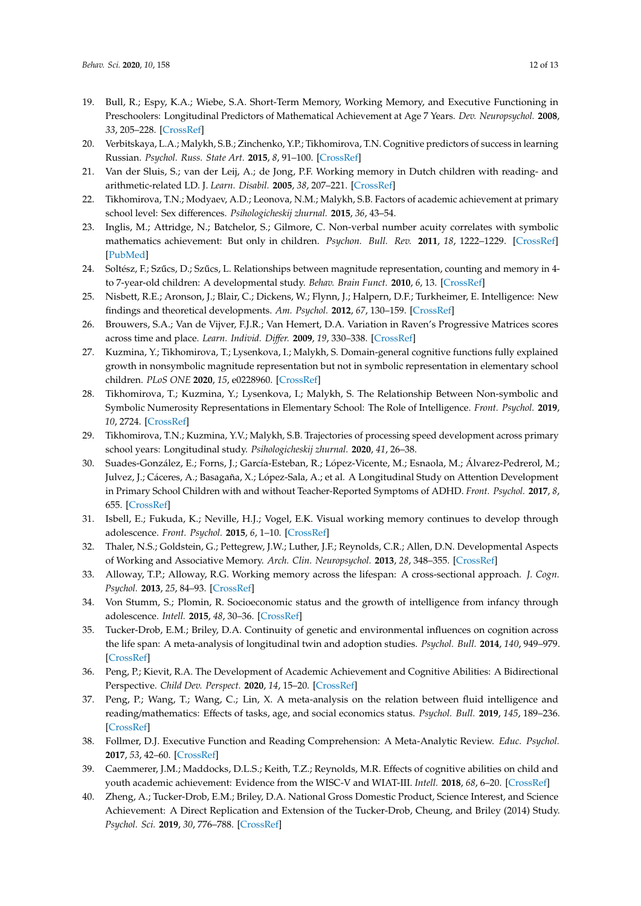- <span id="page-11-0"></span>19. Bull, R.; Espy, K.A.; Wiebe, S.A. Short-Term Memory, Working Memory, and Executive Functioning in Preschoolers: Longitudinal Predictors of Mathematical Achievement at Age 7 Years. *Dev. Neuropsychol.* **2008**, *33*, 205–228. [\[CrossRef\]](http://dx.doi.org/10.1080/87565640801982312)
- <span id="page-11-1"></span>20. Verbitskaya, L.A.; Malykh, S.B.; Zinchenko, Y.P.; Tikhomirova, T.N. Cognitive predictors of success in learning Russian. *Psychol. Russ. State Art.* **2015**, *8*, 91–100. [\[CrossRef\]](http://dx.doi.org/10.11621/pir.2015.0408)
- <span id="page-11-2"></span>21. Van der Sluis, S.; van der Leij, A.; de Jong, P.F. Working memory in Dutch children with reading- and arithmetic-related LD. J. *Learn. Disabil.* **2005**, *38*, 207–221. [\[CrossRef\]](http://dx.doi.org/10.1177/00222194050380030301)
- <span id="page-11-3"></span>22. Tikhomirova, T.N.; Modyaev, A.D.; Leonova, N.M.; Malykh, S.B. Factors of academic achievement at primary school level: Sex differences. *Psihologicheskij zhurnal.* **2015**, *36*, 43–54.
- <span id="page-11-4"></span>23. Inglis, M.; Attridge, N.; Batchelor, S.; Gilmore, C. Non-verbal number acuity correlates with symbolic mathematics achievement: But only in children. *Psychon. Bull. Rev.* **2011**, *18*, 1222–1229. [\[CrossRef\]](http://dx.doi.org/10.3758/s13423-011-0154-1) [\[PubMed\]](http://www.ncbi.nlm.nih.gov/pubmed/21898191)
- <span id="page-11-5"></span>24. Soltész, F.; Szűcs, D.; Szűcs, L. Relationships between magnitude representation, counting and memory in 4to 7-year-old children: A developmental study. *Behav. Brain Funct.* **2010**, *6*, 13. [\[CrossRef\]](http://dx.doi.org/10.1186/1744-9081-6-13)
- <span id="page-11-6"></span>25. Nisbett, R.E.; Aronson, J.; Blair, C.; Dickens, W.; Flynn, J.; Halpern, D.F.; Turkheimer, E. Intelligence: New findings and theoretical developments. *Am. Psychol.* **2012**, *67*, 130–159. [\[CrossRef\]](http://dx.doi.org/10.1037/a0026699)
- <span id="page-11-7"></span>26. Brouwers, S.A.; Van de Vijver, F.J.R.; Van Hemert, D.A. Variation in Raven's Progressive Matrices scores across time and place. *Learn. Individ. Di*ff*er.* **2009**, *19*, 330–338. [\[CrossRef\]](http://dx.doi.org/10.1016/j.lindif.2008.10.006)
- <span id="page-11-8"></span>27. Kuzmina, Y.; Tikhomirova, T.; Lysenkova, I.; Malykh, S. Domain-general cognitive functions fully explained growth in nonsymbolic magnitude representation but not in symbolic representation in elementary school children. *PLoS ONE* **2020**, *15*, e0228960. [\[CrossRef\]](http://dx.doi.org/10.1371/journal.pone.0228960)
- <span id="page-11-9"></span>28. Tikhomirova, T.; Kuzmina, Y.; Lysenkova, I.; Malykh, S. The Relationship Between Non-symbolic and Symbolic Numerosity Representations in Elementary School: The Role of Intelligence. *Front. Psychol.* **2019**, *10*, 2724. [\[CrossRef\]](http://dx.doi.org/10.3389/fpsyg.2019.02724)
- <span id="page-11-10"></span>29. Tikhomirova, T.N.; Kuzmina, Y.V.; Malykh, S.B. Trajectories of processing speed development across primary school years: Longitudinal study. *Psihologicheskij zhurnal.* **2020**, *41*, 26–38.
- <span id="page-11-11"></span>30. Suades-González, E.; Forns, J.; García-Esteban, R.; López-Vicente, M.; Esnaola, M.; Álvarez-Pedrerol, M.; Julvez, J.; Cáceres, A.; Basagaña, X.; López-Sala, A.; et al. A Longitudinal Study on Attention Development in Primary School Children with and without Teacher-Reported Symptoms of ADHD. *Front. Psychol.* **2017**, *8*, 655. [\[CrossRef\]](http://dx.doi.org/10.3389/fpsyg.2017.00655)
- <span id="page-11-12"></span>31. Isbell, E.; Fukuda, K.; Neville, H.J.; Vogel, E.K. Visual working memory continues to develop through adolescence. *Front. Psychol.* **2015**, *6*, 1–10. [\[CrossRef\]](http://dx.doi.org/10.3389/fpsyg.2015.00696)
- 32. Thaler, N.S.; Goldstein, G.; Pettegrew, J.W.; Luther, J.F.; Reynolds, C.R.; Allen, D.N. Developmental Aspects of Working and Associative Memory. *Arch. Clin. Neuropsychol.* **2013**, *28*, 348–355. [\[CrossRef\]](http://dx.doi.org/10.1093/arclin/acs114)
- <span id="page-11-13"></span>33. Alloway, T.P.; Alloway, R.G. Working memory across the lifespan: A cross-sectional approach. *J. Cogn. Psychol.* **2013**, *25*, 84–93. [\[CrossRef\]](http://dx.doi.org/10.1080/20445911.2012.748027)
- <span id="page-11-14"></span>34. Von Stumm, S.; Plomin, R. Socioeconomic status and the growth of intelligence from infancy through adolescence. *Intell.* **2015**, *48*, 30–36. [\[CrossRef\]](http://dx.doi.org/10.1016/j.intell.2014.10.002)
- <span id="page-11-15"></span>35. Tucker-Drob, E.M.; Briley, D.A. Continuity of genetic and environmental influences on cognition across the life span: A meta-analysis of longitudinal twin and adoption studies. *Psychol. Bull.* **2014**, *140*, 949–979. [\[CrossRef\]](http://dx.doi.org/10.1037/a0035893)
- <span id="page-11-16"></span>36. Peng, P.; Kievit, R.A. The Development of Academic Achievement and Cognitive Abilities: A Bidirectional Perspective. *Child Dev. Perspect.* **2020**, *14*, 15–20. [\[CrossRef\]](http://dx.doi.org/10.1111/cdep.12352)
- <span id="page-11-19"></span>37. Peng, P.; Wang, T.; Wang, C.; Lin, X. A meta-analysis on the relation between fluid intelligence and reading/mathematics: Effects of tasks, age, and social economics status. *Psychol. Bull.* **2019**, *145*, 189–236. [\[CrossRef\]](http://dx.doi.org/10.1037/bul0000182)
- <span id="page-11-18"></span>38. Follmer, D.J. Executive Function and Reading Comprehension: A Meta-Analytic Review. *Educ. Psychol.* **2017**, *53*, 42–60. [\[CrossRef\]](http://dx.doi.org/10.1080/00461520.2017.1309295)
- <span id="page-11-17"></span>39. Caemmerer, J.M.; Maddocks, D.L.S.; Keith, T.Z.; Reynolds, M.R. Effects of cognitive abilities on child and youth academic achievement: Evidence from the WISC-V and WIAT-III. *Intell.* **2018**, *68*, 6–20. [\[CrossRef\]](http://dx.doi.org/10.1016/j.intell.2018.02.005)
- <span id="page-11-20"></span>40. Zheng, A.; Tucker-Drob, E.M.; Briley, D.A. National Gross Domestic Product, Science Interest, and Science Achievement: A Direct Replication and Extension of the Tucker-Drob, Cheung, and Briley (2014) Study. *Psychol. Sci.* **2019**, *30*, 776–788. [\[CrossRef\]](http://dx.doi.org/10.1177/0956797619835768)